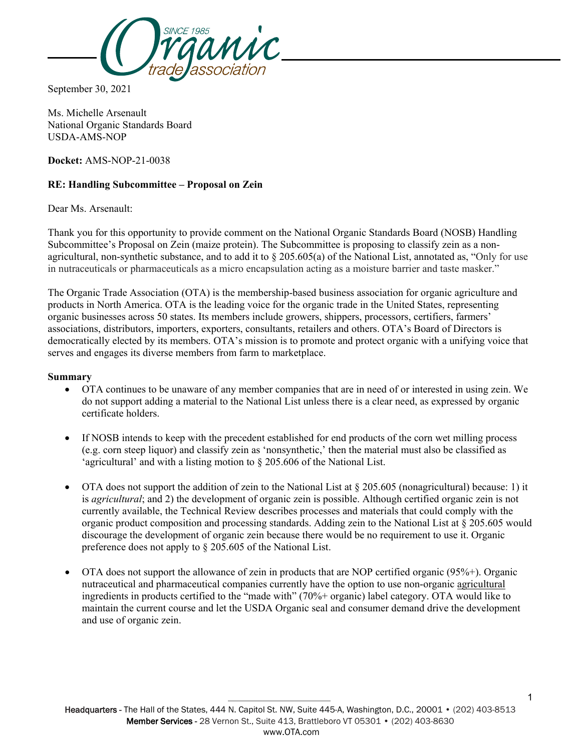

September 30, 2021

Ms. Michelle Arsenault National Organic Standards Board USDA-AMS-NOP

**Docket:** AMS-NOP-21-0038

# **RE: Handling Subcommittee – Proposal on Zein**

Dear Ms. Arsenault:

Thank you for this opportunity to provide comment on the National Organic Standards Board (NOSB) Handling Subcommittee's Proposal on Zein (maize protein). The Subcommittee is proposing to classify zein as a nonagricultural, non-synthetic substance, and to add it to  $\S 205.605(a)$  of the National List, annotated as, "Only for use in nutraceuticals or pharmaceuticals as a micro encapsulation acting as a moisture barrier and taste masker."

The Organic Trade Association (OTA) is the membership-based business association for organic agriculture and products in North America. OTA is the leading voice for the organic trade in the United States, representing organic businesses across 50 states. Its members include growers, shippers, processors, certifiers, farmers' associations, distributors, importers, exporters, consultants, retailers and others. OTA's Board of Directors is democratically elected by its members. OTA's mission is to promote and protect organic with a unifying voice that serves and engages its diverse members from farm to marketplace.

#### **Summary**

- OTA continues to be unaware of any member companies that are in need of or interested in using zein. We do not support adding a material to the National List unless there is a clear need, as expressed by organic certificate holders.
- If NOSB intends to keep with the precedent established for end products of the corn wet milling process (e.g. corn steep liquor) and classify zein as 'nonsynthetic,' then the material must also be classified as 'agricultural' and with a listing motion to § 205.606 of the National List.
- OTA does not support the addition of zein to the National List at § 205.605 (nonagricultural) because: 1) it is *agricultural*; and 2) the development of organic zein is possible. Although certified organic zein is not currently available, the Technical Review describes processes and materials that could comply with the organic product composition and processing standards. Adding zein to the National List at § 205.605 would discourage the development of organic zein because there would be no requirement to use it. Organic preference does not apply to § 205.605 of the National List.
- OTA does not support the allowance of zein in products that are NOP certified organic (95%+). Organic nutraceutical and pharmaceutical companies currently have the option to use non-organic agricultural ingredients in products certified to the "made with" (70%+ organic) label category. OTA would like to maintain the current course and let the USDA Organic seal and consumer demand drive the development and use of organic zein.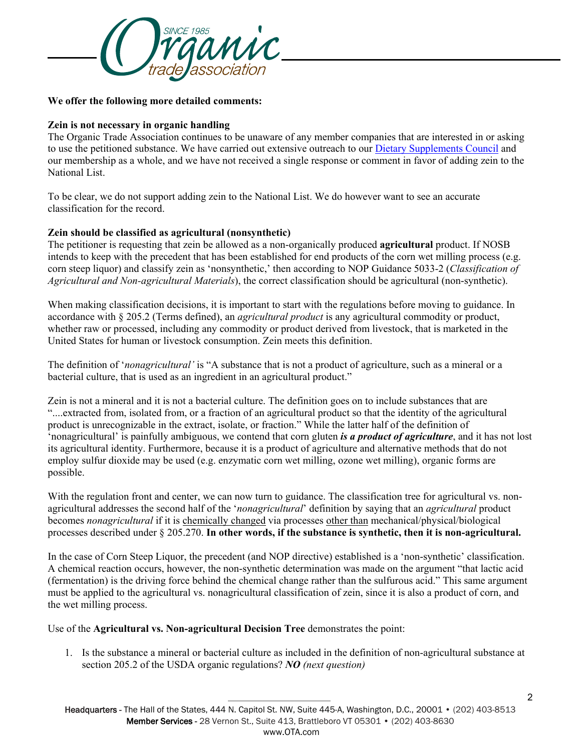

#### **We offer the following more detailed comments:**

### **Zein is not necessary in organic handling**

The Organic Trade Association continues to be unaware of any member companies that are interested in or asking to use the petitioned substance. We have carried out extensive outreach to our [Dietary Supplements Council](https://ota.com/membership/get-involved-member-communities/dietary-supplements-council/dietary-supplements-council) and our membership as a whole, and we have not received a single response or comment in favor of adding zein to the National List.

To be clear, we do not support adding zein to the National List. We do however want to see an accurate classification for the record.

# **Zein should be classified as agricultural (nonsynthetic)**

The petitioner is requesting that zein be allowed as a non-organically produced **agricultural** product. If NOSB intends to keep with the precedent that has been established for end products of the corn wet milling process (e.g. corn steep liquor) and classify zein as 'nonsynthetic,' then according to NOP Guidance 5033-2 (*Classification of Agricultural and Non-agricultural Materials*), the correct classification should be agricultural (non-synthetic).

When making classification decisions, it is important to start with the regulations before moving to guidance. In accordance with § 205.2 (Terms defined), an *agricultural product* is any agricultural commodity or product, whether raw or processed, including any commodity or product derived from livestock, that is marketed in the United States for human or livestock consumption. Zein meets this definition.

The definition of '*nonagricultural'* is "A substance that is not a product of agriculture, such as a mineral or a bacterial culture, that is used as an ingredient in an agricultural product."

Zein is not a mineral and it is not a bacterial culture. The definition goes on to include substances that are "....extracted from, isolated from, or a fraction of an agricultural product so that the identity of the agricultural product is unrecognizable in the extract, isolate, or fraction." While the latter half of the definition of 'nonagricultural' is painfully ambiguous, we contend that corn gluten *is a product of agriculture*, and it has not lost its agricultural identity. Furthermore, because it is a product of agriculture and alternative methods that do not employ sulfur dioxide may be used (e.g. enzymatic corn wet milling, ozone wet milling), organic forms are possible.

With the regulation front and center, we can now turn to guidance. The classification tree for agricultural vs. nonagricultural addresses the second half of the '*nonagricultural*' definition by saying that an *agricultural* product becomes *nonagricultural* if it is chemically changed via processes other than mechanical/physical/biological processes described under § 205.270. **In other words, if the substance is synthetic, then it is non-agricultural.**

In the case of Corn Steep Liquor, the precedent (and NOP directive) established is a 'non-synthetic' classification. A chemical reaction occurs, however, the non-synthetic determination was made on the argument "that lactic acid (fermentation) is the driving force behind the chemical change rather than the sulfurous acid." This same argument must be applied to the agricultural vs. nonagricultural classification of zein, since it is also a product of corn, and the wet milling process.

Use of the **Agricultural vs. Non-agricultural Decision Tree** demonstrates the point:

1. Is the substance a mineral or bacterial culture as included in the definition of non-agricultural substance at section 205.2 of the USDA organic regulations? *NO (next question)*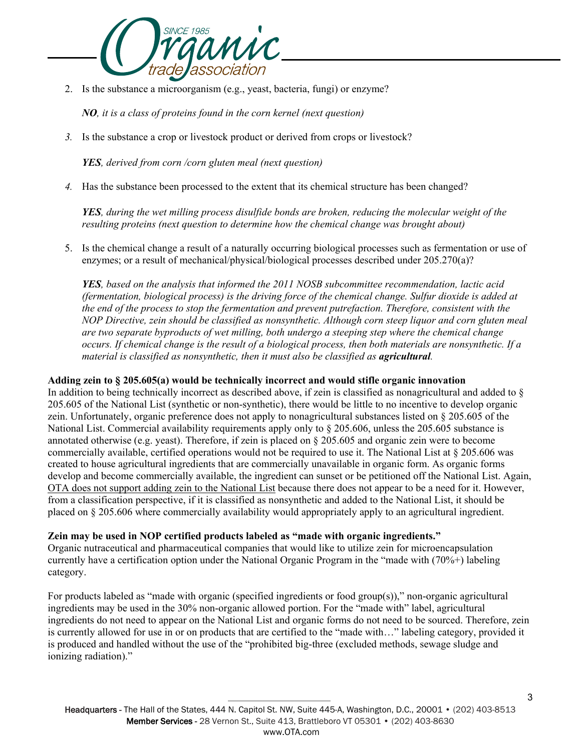

2. Is the substance a microorganism (e.g., yeast, bacteria, fungi) or enzyme?

*NO, it is a class of proteins found in the corn kernel (next question)*

*3.* Is the substance a crop or livestock product or derived from crops or livestock?

*YES, derived from corn /corn gluten meal (next question)*

*4.* Has the substance been processed to the extent that its chemical structure has been changed?

*YES, during the wet milling process disulfide bonds are broken, reducing the molecular weight of the resulting proteins (next question to determine how the chemical change was brought about)* 

5. Is the chemical change a result of a naturally occurring biological processes such as fermentation or use of enzymes; or a result of mechanical/physical/biological processes described under 205.270(a)?

*YES, based on the analysis that informed the 2011 NOSB subcommittee recommendation, lactic acid (fermentation, biological process) is the driving force of the chemical change. Sulfur dioxide is added at the end of the process to stop the fermentation and prevent putrefaction. Therefore, consistent with the NOP Directive, zein should be classified as nonsynthetic. Although corn steep liquor and corn gluten meal are two separate byproducts of wet milling, both undergo a steeping step where the chemical change occurs. If chemical change is the result of a biological process, then both materials are nonsynthetic. If a material is classified as nonsynthetic, then it must also be classified as <i>agricultural*.

## **Adding zein to § 205.605(a) would be technically incorrect and would stifle organic innovation**

In addition to being technically incorrect as described above, if zein is classified as nonagricultural and added to § 205.605 of the National List (synthetic or non-synthetic), there would be little to no incentive to develop organic zein. Unfortunately, organic preference does not apply to nonagricultural substances listed on § 205.605 of the National List. Commercial availability requirements apply only to  $\S 205.606$ , unless the 205.605 substance is annotated otherwise (e.g. yeast). Therefore, if zein is placed on § 205.605 and organic zein were to become commercially available, certified operations would not be required to use it. The National List at  $\S 205.606$  was created to house agricultural ingredients that are commercially unavailable in organic form. As organic forms develop and become commercially available, the ingredient can sunset or be petitioned off the National List. Again, OTA does not support adding zein to the National List because there does not appear to be a need for it. However, from a classification perspective, if it is classified as nonsynthetic and added to the National List, it should be placed on § 205.606 where commercially availability would appropriately apply to an agricultural ingredient.

### **Zein may be used in NOP certified products labeled as "made with organic ingredients."**

Organic nutraceutical and pharmaceutical companies that would like to utilize zein for microencapsulation currently have a certification option under the National Organic Program in the "made with (70%+) labeling category.

For products labeled as "made with organic (specified ingredients or food group(s))," non-organic agricultural ingredients may be used in the 30% non-organic allowed portion. For the "made with" label, agricultural ingredients do not need to appear on the National List and organic forms do not need to be sourced. Therefore, zein is currently allowed for use in or on products that are certified to the "made with…" labeling category, provided it is produced and handled without the use of the "prohibited big-three (excluded methods, sewage sludge and ionizing radiation)."